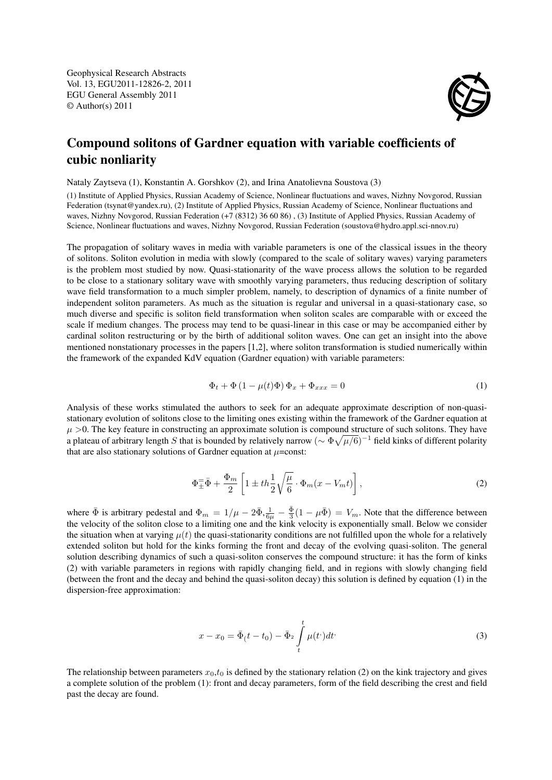Geophysical Research Abstracts Vol. 13, EGU2011-12826-2, 2011 EGU General Assembly 2011 © Author(s) 2011



## Compound solitons of Gardner equation with variable coefficients of cubic nonliarity

Nataly Zaytseva (1), Konstantin A. Gorshkov (2), and Irina Anatolievna Soustova (3)

(1) Institute of Applied Physics, Russian Academy of Science, Nonlinear fluctuations and waves, Nizhny Novgorod, Russian Federation (tsynat@yandex.ru), (2) Institute of Applied Physics, Russian Academy of Science, Nonlinear fluctuations and waves, Nizhny Novgorod, Russian Federation (+7 (8312) 36 60 86), (3) Institute of Applied Physics, Russian Academy of Science, Nonlinear fluctuations and waves, Nizhny Novgorod, Russian Federation (soustova@hydro.appl.sci-nnov.ru)

The propagation of solitary waves in media with variable parameters is one of the classical issues in the theory of solitons. Soliton evolution in media with slowly (compared to the scale of solitary waves) varying parameters is the problem most studied by now. Quasi-stationarity of the wave process allows the solution to be regarded to be close to a stationary solitary wave with smoothly varying parameters, thus reducing description of solitary wave field transformation to a much simpler problem, namely, to description of dynamics of a finite number of independent soliton parameters. As much as the situation is regular and universal in a quasi-stationary case, so much diverse and specific is soliton field transformation when soliton scales are comparable with or exceed the scale îf medium changes. The process may tend to be quasi-linear in this case or may be accompanied either by cardinal soliton restructuring or by the birth of additional soliton waves. One can get an insight into the above mentioned nonstationary processes in the papers [1,2], where soliton transformation is studied numerically within the framework of the expanded KdV equation (Gardner equation) with variable parameters:

$$
\Phi_t + \Phi \left( 1 - \mu(t)\Phi \right) \Phi_x + \Phi_{xxx} = 0 \tag{1}
$$

Analysis of these works stimulated the authors to seek for an adequate approximate description of non-quasistationary evolution of solitons close to the limiting ones existing within the framework of the Gardner equation at  $\mu$  >0. The key feature in constructing an approximate solution is compound structure of such solitons. They have a plateau of arbitrary length S that is bounded by relatively narrow ( $\sim \Phi \sqrt{\mu/6}$ )<sup>-1</sup> field kinks of different polarity that are also stationary solutions of Gardner equation at  $\mu$ =const:

$$
\Phi_{\pm}^{\pm}\bar{\Phi} + \frac{\Phi_m}{2} \left[ 1 \pm th\frac{1}{2}\sqrt{\frac{\mu}{6}} \cdot \Phi_m(x - V_m t) \right],\tag{2}
$$

where  $\bar{\Phi}$  is arbitrary pedestal and  $\Phi_m = 1/\mu - 2\bar{\Phi}, \frac{1}{6\mu} - \frac{\bar{\Phi}}{3}(1 - \mu\bar{\Phi}) = V_m$ . Note that the difference between the velocity of the soliton close to a limiting one and the kink velocity is exponentially small. Below we consider the situation when at varying  $\mu(t)$  the quasi-stationarity conditions are not fulfilled upon the whole for a relatively extended soliton but hold for the kinks forming the front and decay of the evolving quasi-soliton. The general solution describing dynamics of such a quasi-soliton conserves the compound structure: it has the form of kinks (2) with variable parameters in regions with rapidly changing field, and in regions with slowly changing field (between the front and the decay and behind the quasi-soliton decay) this solution is defined by equation (1) in the dispersion-free approximation:

$$
x - x_0 = \bar{\Phi}_0(t - t_0) - \bar{\Phi}_2 \int_t^t \mu(t^*) dt^*
$$
\n(3)

The relationship between parameters  $x_0, t_0$  is defined by the stationary relation (2) on the kink trajectory and gives a complete solution of the problem (1): front and decay parameters, form of the field describing the crest and field past the decay are found.